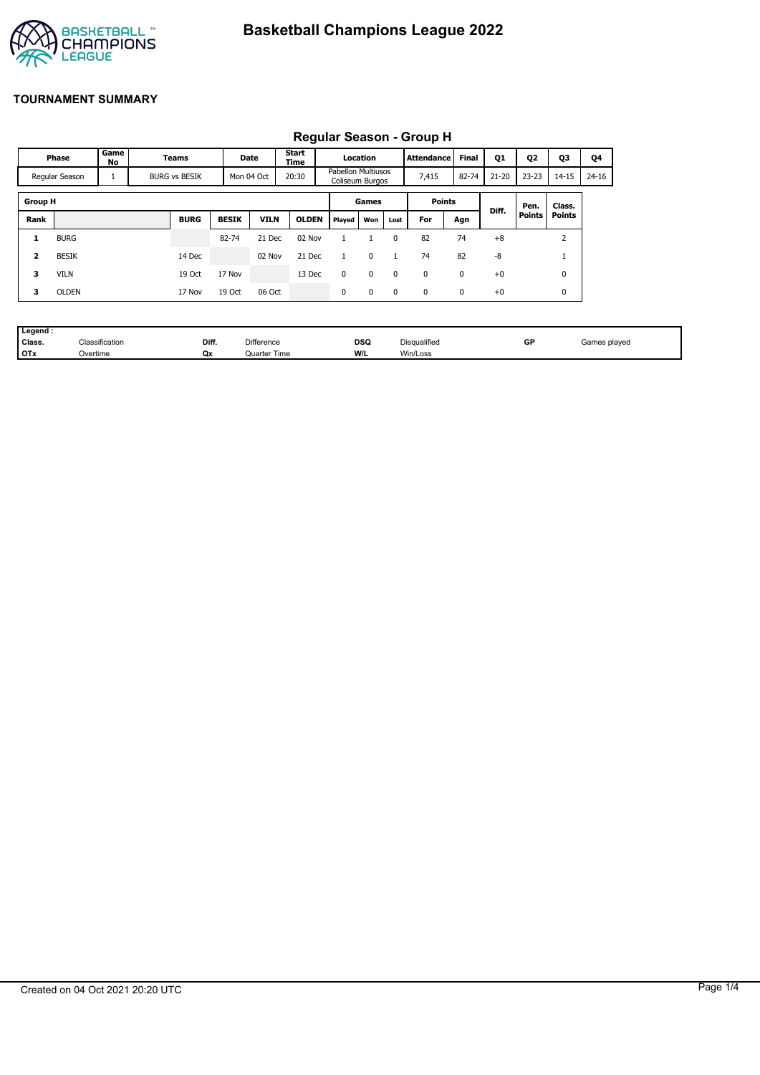

## **TOURNAMENT SUMMARY**

| <b>INGUNIAI OCASOII OI OUP II</b> |              |                      |       |             |              |                              |                                              |          |             |             |              |           |                |           |                               |  |
|-----------------------------------|--------------|----------------------|-------|-------------|--------------|------------------------------|----------------------------------------------|----------|-------------|-------------|--------------|-----------|----------------|-----------|-------------------------------|--|
| Phase                             |              | Game<br>No           | Teams |             |              | <b>Start</b><br>Date<br>Time |                                              | Location |             | Attendance  | <b>Final</b> | Q1        | Q <sub>2</sub> | Q3        | Q4                            |  |
| Regular Season                    |              | <b>BURG vs BESIK</b> |       | Mon 04 Oct  | 20:30        |                              | <b>Pabellon Multiusos</b><br>Coliseum Burgos |          | 7,415       | 82-74       | $21 - 20$    | $23 - 23$ | $14 - 15$      | $24 - 16$ |                               |  |
| <b>Group H</b><br>Games           |              |                      |       |             |              |                              | <b>Points</b><br>Diff.                       |          |             | Pen.        | Class.       |           |                |           |                               |  |
| Rank                              |              |                      |       | <b>BURG</b> | <b>BESIK</b> | <b>VILN</b>                  | <b>OLDEN</b>                                 | Played   | Won         | Lost        | For          | Agn       |                | Points    | Points                        |  |
| 1                                 | <b>BURG</b>  |                      |       |             | 82-74        | 21 Dec                       | 02 Nov                                       |          |             | $\Omega$    | 82           | 74        | $+8$           |           | $\overline{\phantom{a}}$<br>∠ |  |
| $\overline{\mathbf{z}}$           | <b>BESIK</b> |                      |       | 14 Dec      |              | 02 Nov                       | 21 Dec                                       |          | 0           |             | 74           | 82        | -8             |           | J.                            |  |
| 3                                 | <b>VILN</b>  |                      |       | 19 Oct      | 17 Nov       |                              | 13 Dec                                       | 0        | $\mathbf 0$ | $\Omega$    | 0            | 0         | $+0$           |           | 0                             |  |
| 3                                 | <b>OLDEN</b> |                      |       | 17 Nov      | 19 Oct       | 06 Oct                       |                                              | 0        | $\mathbf 0$ | $\mathbf 0$ | 0            | 0         | $+0$           |           | 0                             |  |

# **Regular Season - Group H**

| . Legend · |                |       |                   |     |              |    |              |
|------------|----------------|-------|-------------------|-----|--------------|----|--------------|
| Class.     | Classification | Diff. | <b>Difference</b> | DSQ | Disqualified | GP | Games plaved |
| <b>OTx</b> | ⊃vertime       | Qх    | Quarter Time      | W/L | Win/Loss     |    |              |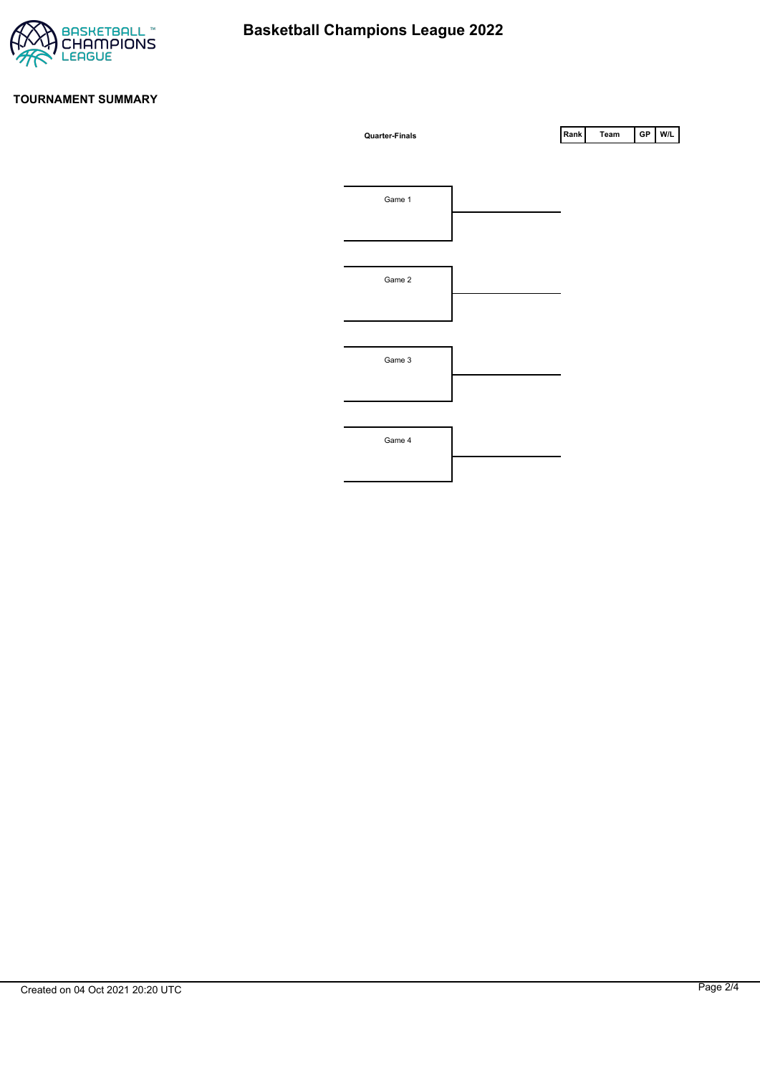

### **TOURNAMENT SUMMARY**

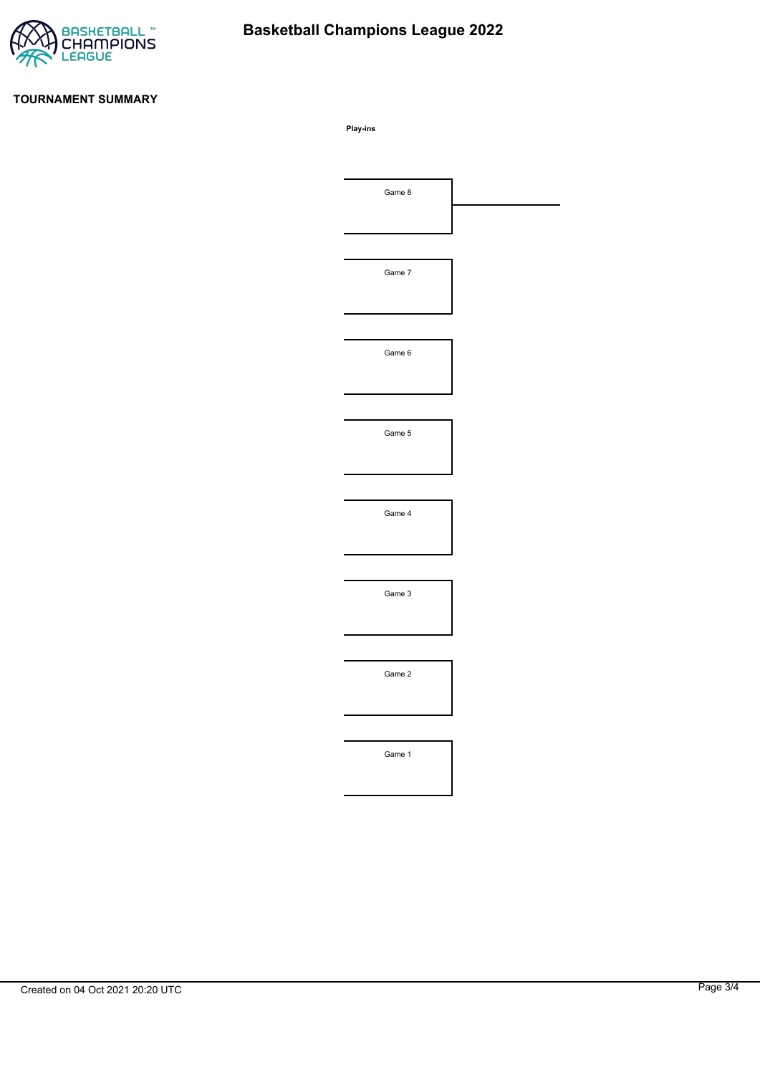

# **Basketball Champions League 2022**

## **TOURNAMENT SUMMARY**

**Play-ins**

| Game 8 |  |
|--------|--|
|        |  |
|        |  |
| Game 7 |  |
|        |  |
|        |  |
| Game 6 |  |
|        |  |
|        |  |
| Game 5 |  |
|        |  |
|        |  |
| Game 4 |  |
|        |  |
|        |  |
| Game 3 |  |
|        |  |
|        |  |
| Game 2 |  |
|        |  |
|        |  |
| Game 1 |  |
|        |  |
|        |  |
|        |  |